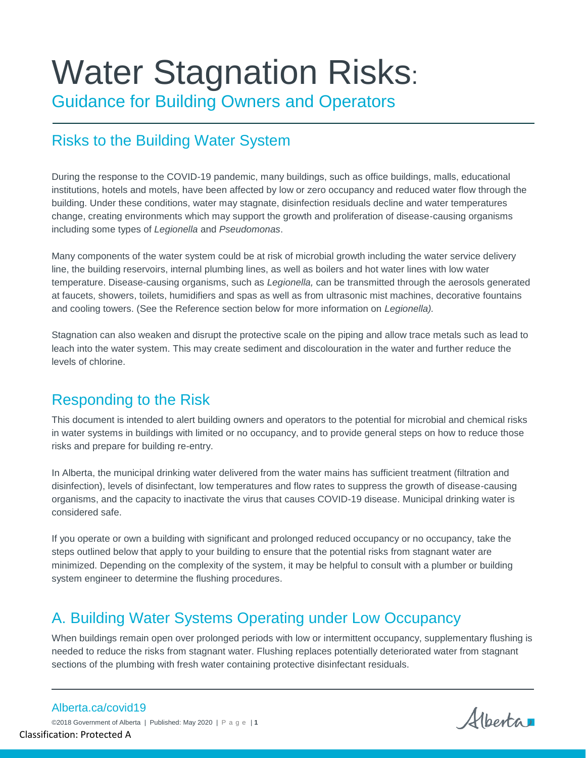# Water Stagnation Risks:

Guidance for Building Owners and Operators

# Risks to the Building Water System

During the response to the COVID-19 pandemic, many buildings, such as office buildings, malls, educational institutions, hotels and motels, have been affected by low or zero occupancy and reduced water flow through the building. Under these conditions, water may stagnate, disinfection residuals decline and water temperatures change, creating environments which may support the growth and proliferation of disease-causing organisms including some types of *Legionella* and *Pseudomonas*.

Many components of the water system could be at risk of microbial growth including the water service delivery line, the building reservoirs, internal plumbing lines, as well as boilers and hot water lines with low water temperature. Disease-causing organisms, such as *Legionella,* can be transmitted through the aerosols generated at faucets, showers, toilets, humidifiers and spas as well as from ultrasonic mist machines, decorative fountains and cooling towers. (See the Reference section below for more information on *Legionella).*

Stagnation can also weaken and disrupt the protective scale on the piping and allow trace metals such as lead to leach into the water system. This may create sediment and discolouration in the water and further reduce the levels of chlorine.

# Responding to the Risk

This document is intended to alert building owners and operators to the potential for microbial and chemical risks in water systems in buildings with limited or no occupancy, and to provide general steps on how to reduce those risks and prepare for building re-entry.

In Alberta, the municipal drinking water delivered from the water mains has sufficient treatment (filtration and disinfection), levels of disinfectant, low temperatures and flow rates to suppress the growth of disease-causing organisms, and the capacity to inactivate the virus that causes COVID-19 disease. Municipal drinking water is considered safe.

If you operate or own a building with significant and prolonged reduced occupancy or no occupancy, take the steps outlined below that apply to your building to ensure that the potential risks from stagnant water are minimized. Depending on the complexity of the system, it may be helpful to consult with a plumber or building system engineer to determine the flushing procedures.

# A. Building Water Systems Operating under Low Occupancy

When buildings remain open over prolonged periods with low or intermittent occupancy, supplementary flushing is needed to reduce the risks from stagnant water. Flushing replaces potentially deteriorated water from stagnant sections of the plumbing with fresh water containing protective disinfectant residuals.

Alberta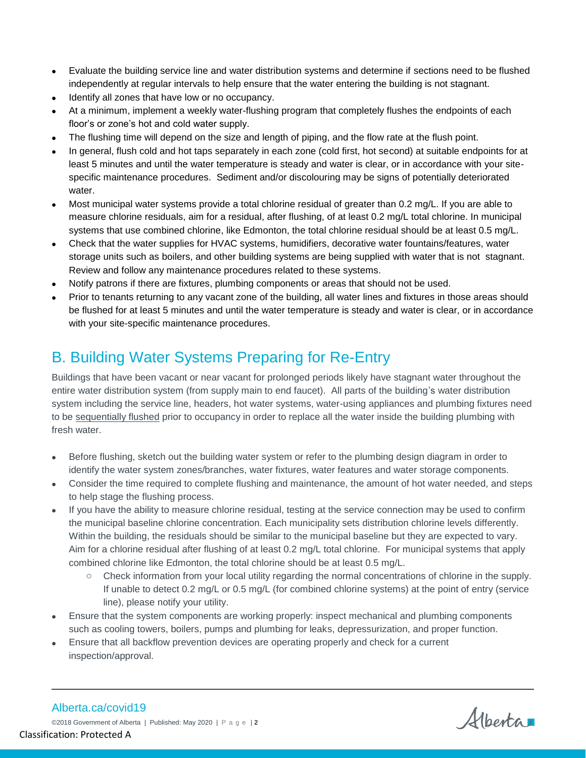- Evaluate the building service line and water distribution systems and determine if sections need to be flushed independently at regular intervals to help ensure that the water entering the building is not stagnant.
- Identify all zones that have low or no occupancy.
- At a minimum, implement a weekly water-flushing program that completely flushes the endpoints of each floor's or zone's hot and cold water supply.
- The flushing time will depend on the size and length of piping, and the flow rate at the flush point.
- In general, flush cold and hot taps separately in each zone (cold first, hot second) at suitable endpoints for at least 5 minutes and until the water temperature is steady and water is clear, or in accordance with your sitespecific maintenance procedures. Sediment and/or discolouring may be signs of potentially deteriorated water.
- Most municipal water systems provide a total chlorine residual of greater than 0.2 mg/L. If you are able to measure chlorine residuals, aim for a residual, after flushing, of at least 0.2 mg/L total chlorine. In municipal systems that use combined chlorine, like Edmonton, the total chlorine residual should be at least 0.5 mg/L.
- Check that the water supplies for HVAC systems, humidifiers, decorative water fountains/features, water storage units such as boilers, and other building systems are being supplied with water that is not stagnant. Review and follow any maintenance procedures related to these systems.
- Notify patrons if there are fixtures, plumbing components or areas that should not be used.
- Prior to tenants returning to any vacant zone of the building, all water lines and fixtures in those areas should be flushed for at least 5 minutes and until the water temperature is steady and water is clear, or in accordance with your site-specific maintenance procedures.

# B. Building Water Systems Preparing for Re-Entry

Buildings that have been vacant or near vacant for prolonged periods likely have stagnant water throughout the entire water distribution system (from supply main to end faucet). All parts of the building's water distribution system including the service line, headers, hot water systems, water-using appliances and plumbing fixtures need to be sequentially flushed prior to occupancy in order to replace all the water inside the building plumbing with fresh water.

- Before flushing, sketch out the building water system or refer to the plumbing design diagram in order to identify the water system zones/branches, water fixtures, water features and water storage components.
- Consider the time required to complete flushing and maintenance, the amount of hot water needed, and steps to help stage the flushing process.
- If you have the ability to measure chlorine residual, testing at the service connection may be used to confirm the municipal baseline chlorine concentration. Each municipality sets distribution chlorine levels differently. Within the building, the residuals should be similar to the municipal baseline but they are expected to vary. Aim for a chlorine residual after flushing of at least 0.2 mg/L total chlorine. For municipal systems that apply combined chlorine like Edmonton, the total chlorine should be at least 0.5 mg/L.
	- o Check information from your local utility regarding the normal concentrations of chlorine in the supply. If unable to detect 0.2 mg/L or 0.5 mg/L (for combined chlorine systems) at the point of entry (service line), please notify your utility.
- Ensure that the system components are working properly: inspect mechanical and plumbing components such as cooling towers, boilers, pumps and plumbing for leaks, depressurization, and proper function.
- Ensure that all backflow prevention devices are operating properly and check for a current inspection/approval.

Alberta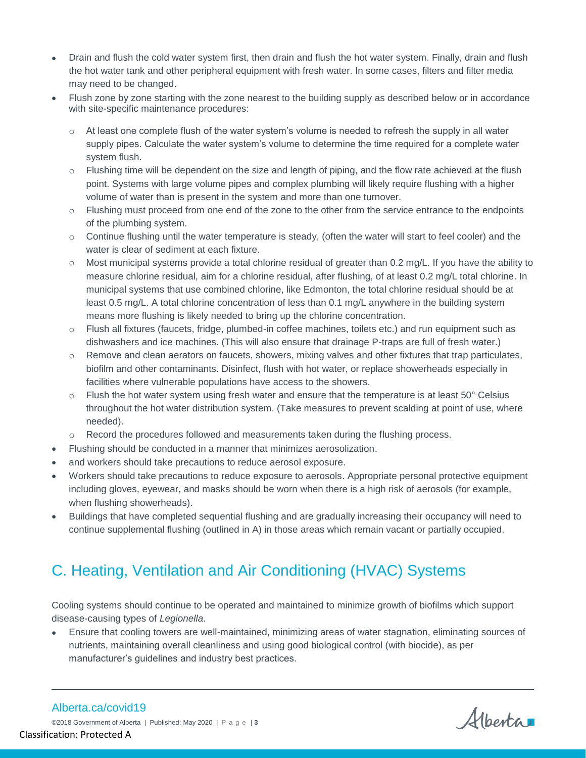- Drain and flush the cold water system first, then drain and flush the hot water system. Finally, drain and flush the hot water tank and other peripheral equipment with fresh water. In some cases, filters and filter media may need to be changed.
- Flush zone by zone starting with the zone nearest to the building supply as described below or in accordance with site-specific maintenance procedures:
	- $\circ$  At least one complete flush of the water system's volume is needed to refresh the supply in all water supply pipes. Calculate the water system's volume to determine the time required for a complete water system flush.
	- $\circ$  Flushing time will be dependent on the size and length of piping, and the flow rate achieved at the flush point. Systems with large volume pipes and complex plumbing will likely require flushing with a higher volume of water than is present in the system and more than one turnover.
	- o Flushing must proceed from one end of the zone to the other from the service entrance to the endpoints of the plumbing system.
	- o Continue flushing until the water temperature is steady, (often the water will start to feel cooler) and the water is clear of sediment at each fixture.
	- $\circ$  Most municipal systems provide a total chlorine residual of greater than 0.2 mg/L. If you have the ability to measure chlorine residual, aim for a chlorine residual, after flushing, of at least 0.2 mg/L total chlorine. In municipal systems that use combined chlorine, like Edmonton, the total chlorine residual should be at least 0.5 mg/L. A total chlorine concentration of less than 0.1 mg/L anywhere in the building system means more flushing is likely needed to bring up the chlorine concentration.
	- o Flush all fixtures (faucets, fridge, plumbed-in coffee machines, toilets etc.) and run equipment such as dishwashers and ice machines. (This will also ensure that drainage P-traps are full of fresh water.)
	- $\circ$  Remove and clean aerators on faucets, showers, mixing valves and other fixtures that trap particulates, biofilm and other contaminants. Disinfect, flush with hot water, or replace showerheads especially in facilities where vulnerable populations have access to the showers.
	- $\circ$  Flush the hot water system using fresh water and ensure that the temperature is at least 50 $\degree$  Celsius throughout the hot water distribution system. (Take measures to prevent scalding at point of use, where needed).
	- $\circ$  Record the procedures followed and measurements taken during the flushing process.
- Flushing should be conducted in a manner that minimizes aerosolization.
- and workers should take precautions to reduce aerosol exposure.
- Workers should take precautions to reduce exposure to aerosols. Appropriate personal protective equipment including gloves, eyewear, and masks should be worn when there is a high risk of aerosols (for example, when flushing showerheads).
- Buildings that have completed sequential flushing and are gradually increasing their occupancy will need to continue supplemental flushing (outlined in A) in those areas which remain vacant or partially occupied.

# C. Heating, Ventilation and Air Conditioning (HVAC) Systems

Cooling systems should continue to be operated and maintained to minimize growth of biofilms which support disease-causing types of *Legionella*.

 Ensure that cooling towers are well-maintained, minimizing areas of water stagnation, eliminating sources of nutrients, maintaining overall cleanliness and using good biological control (with biocide), as per manufacturer's guidelines and industry best practices.

#### Alberta.ca/covid19

Alberta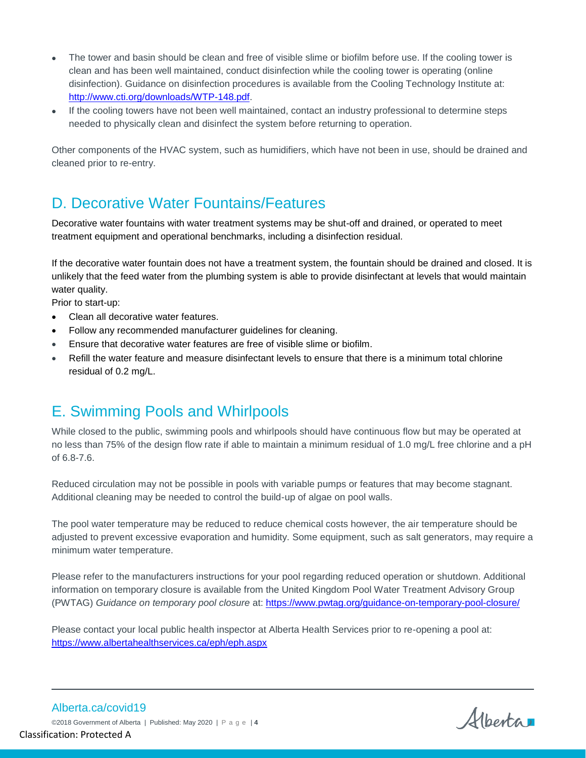- The tower and basin should be clean and free of visible slime or biofilm before use. If the cooling tower is clean and has been well maintained, conduct disinfection while the cooling tower is operating (online disinfection). Guidance on disinfection procedures is available from the Cooling Technology Institute at: [http://www.cti.org/downloads/WTP-148.pdf.](http://www.cti.org/downloads/WTP-148.pdf)
- If the cooling towers have not been well maintained, contact an industry professional to determine steps needed to physically clean and disinfect the system before returning to operation.

Other components of the HVAC system, such as humidifiers, which have not been in use, should be drained and cleaned prior to re-entry.

#### D. Decorative Water Fountains/Features

Decorative water fountains with water treatment systems may be shut-off and drained, or operated to meet treatment equipment and operational benchmarks, including a disinfection residual.

If the decorative water fountain does not have a treatment system, the fountain should be drained and closed. It is unlikely that the feed water from the plumbing system is able to provide disinfectant at levels that would maintain water quality.

Prior to start-up:

- Clean all decorative water features.
- Follow any recommended manufacturer guidelines for cleaning.
- Ensure that decorative water features are free of visible slime or biofilm.
- Refill the water feature and measure disinfectant levels to ensure that there is a minimum total chlorine residual of 0.2 mg/L.

#### E. Swimming Pools and Whirlpools

While closed to the public, swimming pools and whirlpools should have continuous flow but may be operated at no less than 75% of the design flow rate if able to maintain a minimum residual of 1.0 mg/L free chlorine and a pH of 6.8-7.6.

Reduced circulation may not be possible in pools with variable pumps or features that may become stagnant. Additional cleaning may be needed to control the build-up of algae on pool walls.

The pool water temperature may be reduced to reduce chemical costs however, the air temperature should be adjusted to prevent excessive evaporation and humidity. Some equipment, such as salt generators, may require a minimum water temperature.

Please refer to the manufacturers instructions for your pool regarding reduced operation or shutdown. Additional information on temporary closure is available from the United Kingdom Pool Water Treatment Advisory Group (PWTAG) *Guidance on temporary pool closure* at:<https://www.pwtag.org/guidance-on-temporary-pool-closure/>

Please contact your local public health inspector at Alberta Health Services prior to re-opening a pool at: <https://www.albertahealthservices.ca/eph/eph.aspx>

Alberta